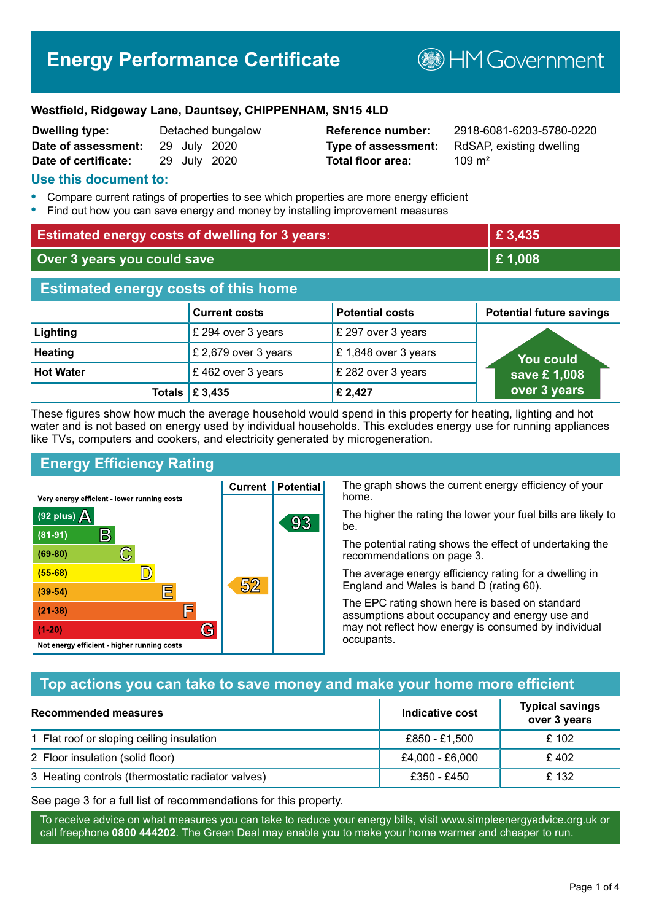# **Energy Performance Certificate**

**B**HM Government

#### **Westfield, Ridgeway Lane, Dauntsey, CHIPPENHAM, SN15 4LD**

| <b>Dwelling type:</b> |              | Detached bungalow |
|-----------------------|--------------|-------------------|
| Date of assessment:   | 29 July 2020 |                   |
| Date of certificate:  | 29 July 2020 |                   |

# **Total floor area:** 209 m<sup>2</sup>

**Reference number:** 2918-6081-6203-5780-0220 **Type of assessment:** RdSAP, existing dwelling

#### **Use this document to:**

- **•** Compare current ratings of properties to see which properties are more energy efficient
- **•** Find out how you can save energy and money by installing improvement measures

| <b>Estimated energy costs of dwelling for 3 years:</b> |                      | £ 3,435                |                                 |  |
|--------------------------------------------------------|----------------------|------------------------|---------------------------------|--|
| Over 3 years you could save                            |                      | £1,008                 |                                 |  |
| <b>Estimated energy costs of this home</b>             |                      |                        |                                 |  |
|                                                        | <b>Current costs</b> | <b>Potential costs</b> | <b>Potential future savings</b> |  |
| Lighting                                               | £ 294 over 3 years   | £ 297 over 3 years     |                                 |  |
| <b>Heating</b>                                         | £ 2,679 over 3 years | £1,848 over 3 years    | You could                       |  |
| <b>Hot Water</b>                                       | £462 over 3 years    | £ 282 over 3 years     | save £1,008                     |  |
| Totals                                                 | £ 3,435              | £ 2,427                | over 3 years                    |  |

These figures show how much the average household would spend in this property for heating, lighting and hot water and is not based on energy used by individual households. This excludes energy use for running appliances like TVs, computers and cookers, and electricity generated by microgeneration.

**Current | Potential** 

52

93

# **Energy Efficiency Rating**

 $\mathbb{C}$ 

 $\mathbb{D}$ 

巨

庐

G

Very energy efficient - lower running costs

 $\mathsf{R}% _{T}$ 

Not energy efficient - higher running costs

 $(92$  plus)

 $(81 - 91)$ 

 $(69 - 80)$ 

 $(55-68)$ 

 $(39 - 54)$ 

 $(21-38)$ 

 $(1-20)$ 

- 78

The graph shows the current energy efficiency of your home.

The higher the rating the lower your fuel bills are likely to be.

The potential rating shows the effect of undertaking the recommendations on page 3.

The average energy efficiency rating for a dwelling in England and Wales is band D (rating 60).

The EPC rating shown here is based on standard assumptions about occupancy and energy use and may not reflect how energy is consumed by individual occupants.

### **Top actions you can take to save money and make your home more efficient**

| Recommended measures                              | Indicative cost | <b>Typical savings</b><br>over 3 years |
|---------------------------------------------------|-----------------|----------------------------------------|
| 1 Flat roof or sloping ceiling insulation         | £850 - £1,500   | £ 102                                  |
| 2 Floor insulation (solid floor)                  | £4,000 - £6,000 | £402                                   |
| 3 Heating controls (thermostatic radiator valves) | £350 - £450     | £132                                   |

See page 3 for a full list of recommendations for this property.

To receive advice on what measures you can take to reduce your energy bills, visit www.simpleenergyadvice.org.uk or call freephone **0800 444202**. The Green Deal may enable you to make your home warmer and cheaper to run.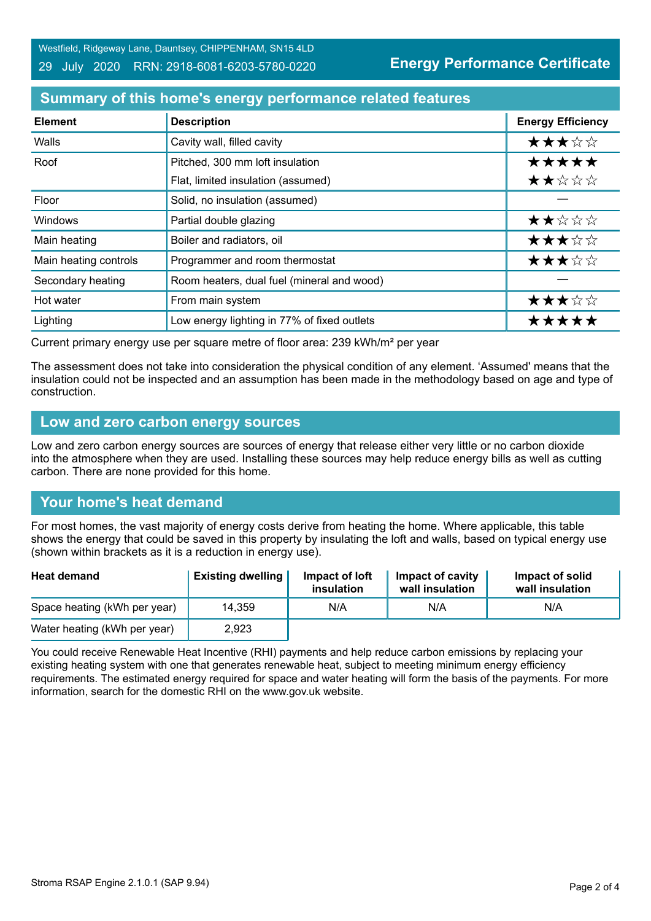## **Summary of this home's energy performance related features**

| <b>Element</b>        | <b>Description</b>                          | <b>Energy Efficiency</b> |
|-----------------------|---------------------------------------------|--------------------------|
| Walls                 | Cavity wall, filled cavity                  | ★★★☆☆                    |
| Roof                  | Pitched, 300 mm loft insulation             | *****                    |
|                       | Flat, limited insulation (assumed)          | ★★☆☆☆                    |
| Floor                 | Solid, no insulation (assumed)              |                          |
| Windows               | Partial double glazing                      | ★★☆☆☆                    |
| Main heating          | Boiler and radiators, oil                   | ★★★☆☆                    |
| Main heating controls | Programmer and room thermostat              | ★★★☆☆                    |
| Secondary heating     | Room heaters, dual fuel (mineral and wood)  |                          |
| Hot water             | From main system                            | ★★★☆☆                    |
| Lighting              | Low energy lighting in 77% of fixed outlets | *****                    |

Current primary energy use per square metre of floor area: 239 kWh/m² per year

The assessment does not take into consideration the physical condition of any element. 'Assumed' means that the insulation could not be inspected and an assumption has been made in the methodology based on age and type of construction.

#### **Low and zero carbon energy sources**

Low and zero carbon energy sources are sources of energy that release either very little or no carbon dioxide into the atmosphere when they are used. Installing these sources may help reduce energy bills as well as cutting carbon. There are none provided for this home.

### **Your home's heat demand**

For most homes, the vast majority of energy costs derive from heating the home. Where applicable, this table shows the energy that could be saved in this property by insulating the loft and walls, based on typical energy use (shown within brackets as it is a reduction in energy use).

| <b>Heat demand</b>           | <b>Existing dwelling</b> | Impact of loft<br>insulation | Impact of cavity<br>wall insulation | Impact of solid<br>wall insulation |
|------------------------------|--------------------------|------------------------------|-------------------------------------|------------------------------------|
| Space heating (kWh per year) | 14,359                   | N/A                          | N/A                                 | N/A                                |
| Water heating (kWh per year) | 2,923                    |                              |                                     |                                    |

You could receive Renewable Heat Incentive (RHI) payments and help reduce carbon emissions by replacing your existing heating system with one that generates renewable heat, subject to meeting minimum energy efficiency requirements. The estimated energy required for space and water heating will form the basis of the payments. For more information, search for the domestic RHI on the www.gov.uk website.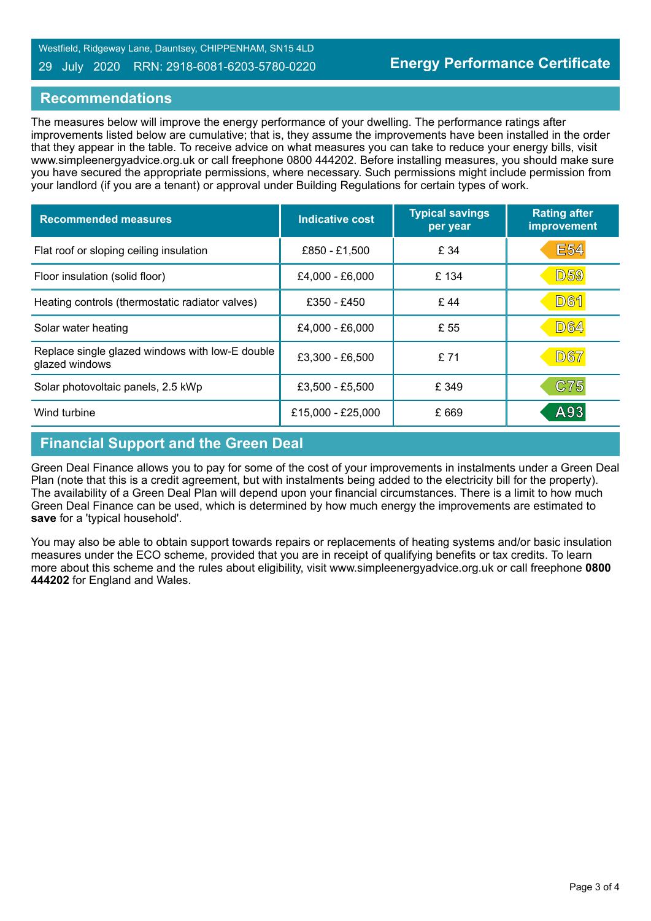#### 29 July 2020 RRN: 2918-6081-6203-5780-0220

#### **Recommendations**

The measures below will improve the energy performance of your dwelling. The performance ratings after improvements listed below are cumulative; that is, they assume the improvements have been installed in the order that they appear in the table. To receive advice on what measures you can take to reduce your energy bills, visit www.simpleenergyadvice.org.uk or call freephone 0800 444202. Before installing measures, you should make sure you have secured the appropriate permissions, where necessary. Such permissions might include permission from your landlord (if you are a tenant) or approval under Building Regulations for certain types of work.

| <b>Recommended measures</b>                                       | <b>Indicative cost</b> | <b>Typical savings</b><br>per year | <b>Rating after</b><br>improvement |
|-------------------------------------------------------------------|------------------------|------------------------------------|------------------------------------|
| Flat roof or sloping ceiling insulation                           | £850 - £1,500          | £ 34                               | <b>E54</b>                         |
| Floor insulation (solid floor)                                    | £4,000 - £6,000        | £134                               | <b>D59</b>                         |
| Heating controls (thermostatic radiator valves)                   | £350 - £450            | £44                                | <b>D61</b>                         |
| Solar water heating                                               | £4,000 - £6,000        | £ 55                               | <b>D64</b>                         |
| Replace single glazed windows with low-E double<br>glazed windows | £3,300 - £6,500        | £71                                | <b>D67</b>                         |
| Solar photovoltaic panels, 2.5 kWp                                | £3,500 - £5,500        | £ 349                              | C75                                |
| Wind turbine                                                      | £15,000 - £25,000      | £ 669                              | A93                                |

### **Financial Support and the Green Deal**

Green Deal Finance allows you to pay for some of the cost of your improvements in instalments under a Green Deal Plan (note that this is a credit agreement, but with instalments being added to the electricity bill for the property). The availability of a Green Deal Plan will depend upon your financial circumstances. There is a limit to how much Green Deal Finance can be used, which is determined by how much energy the improvements are estimated to **save** for a 'typical household'.

You may also be able to obtain support towards repairs or replacements of heating systems and/or basic insulation measures under the ECO scheme, provided that you are in receipt of qualifying benefits or tax credits. To learn more about this scheme and the rules about eligibility, visit www.simpleenergyadvice.org.uk or call freephone **0800 444202** for England and Wales.